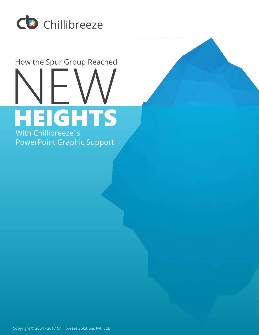

# NEW THE SPUT GROUP Reached How the Spur Group Reached HEIGHTS With Chillibreeze' s

PowerPoint Graphic Support

Copyright © 2004 - 2017 Chillibreeze Solutions Pvt. Ltd.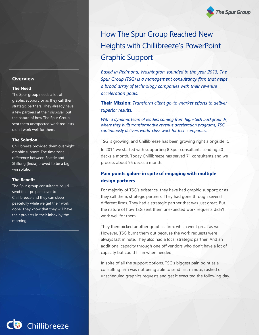## **Overview**

#### **The Need**

The Spur group needs a lot of graphic support; or as they call them, strategic partners. They already have a few partners at their disposal, but the nature of how The Spur Group sent them unexpected work requests didn't work well for them.

#### **The Solution**

Chillibreeze provided them overnight graphic support. The time zone difference between Seattle and Shillong [India] proved to be a big win solution.

#### **The Benefit**

The Spur group consultants could send their projects over to Chillibreeze and they can sleep peacefully while we get their work done. They know that they will have their projects in their inbox by the morning.

How The Spur Group Reached New Heights with Chillibreeze's PowerPoint Graphic Support

**The Spur Group** 

*Based in Redmond, Washington, founded in the year 2013, The Spur Group (TSG) is a management consultancy firm that helps a broad array of technology companies with their revenue acceleration goals.* 

**Their Mission**: *Transform client go-to-market efforts to deliver superior results.*

*With a dynamic team of leaders coming from high-tech backgrounds, where they built transformative revenue acceleration programs, TSG continuously delivers world-class work for tech companies.* 

TSG is growing, and Chillibreeze has been growing right alongside it.

In 2014 we started with supporting 8 Spur consultants sending 20 decks a month. Today Chillibreeze has served 71 consultants and we process about 95 decks a month.

## **Pain points galore in spite of engaging with multiple design partners**

For majority of TSG's existence, they have had graphic support; or as they call them, strategic partners. They had gone through several different firms. They had a strategic partner that was just great. But the nature of how TSG sent them unexpected work requests didn't work well for them.

They then picked another graphics firm; which went great as well. However, TSG burnt them out because the work requests were always last minute. They also had a local strategic partner. And an additional capacity through one off vendors who don't have a lot of capacity but could fill in when needed.

In spite of all the support options, TSG's biggest pain point as a consulting firm was not being able to send last minute, rushed or unscheduled graphics requests and get it executed the following day.

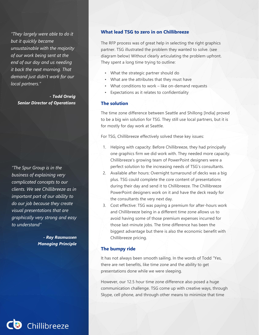*"They largely were able to do it but it quickly became unsustainable with the majority of our work being sent at the end of our day and us needing it back the next morning. That demand just didn't work for our local partners."*

*- Todd Orwig Senior Director of Operations*

*"The Spur Group is in the business of explaining very complicated concepts to our clients. We see Chillibreeze as in important part of our ability to do our job because they create visual presentations that are graphically very strong and easy to understand"* 

> *- Ray Rasmussen Managing Principle*

## **What lead TSG to zero in on Chillibreeze**

The RFP process was of great help in selecting the right graphics partner. TSG illustrated the problem they wanted to solve. (see diagram below) Without clearly articulating the problem upfront. They spent a long time trying to outline:

- What the strategic partner should do
- What are the attributes that they must have
- What conditions to work like on-demand requests
- Expectations as it relates to confidentiality

## **The solution**

The time zone difference between Seattle and Shillong [India] proved to be a big win solution for TSG. They still use local partners, but it is for mostly for day work at Seattle.

For TSG, Chillibreeze effectively solved these key issues:

- 1. Helping with capacity: Before Chillibreeze, they had principally one graphics firm we did work with. They needed more capacity. Chillibreeze's growing team of PowerPoint designers were a perfect solution to the increasing needs of TSG's consultants.
- 2. Available after hours: Overnight turnaround of decks was a big plus. TSG could complete the core content of presentations during their day and send it to Chillibreeze. The Chillibreeze PowerPoint designers work on it and have the deck ready for the consultants the very next day.
- 3. Cost effective: TSG was paying a premium for after-hours work and Chillibreeze being in a different time zone allows us to avoid having some of those premium expenses incurred for those last-minute jobs. The time difference has been the biggest advantage but there is also the economic benefit with Chillibreeze pricing.

## **The bumpy ride**

It has not always been smooth sailing. In the words of Todd "Yes, there are net benefits, like time zone and the ability to get presentations done while we were sleeping.

However, our 12.5 hour time zone difference also posed a huge communication challenge. TSG come up with creative ways, through Skype, cell phone, and through other means to minimize that time

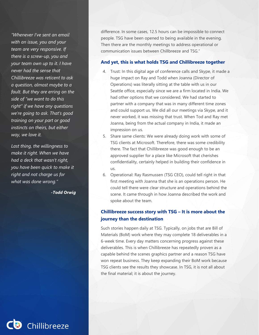*"Whenever I've sent an email with an issue, you and your team are very responsive. If there is a screw-up, you and your team own up to it. I have never had the sense that Chillibreeze was reticent to ask a question, almost maybe to a fault. But they are erring on the side of "we want to do this right" if we have any questions we're going to ask. That's good training on your part or good instincts on theirs, but either way, we love it.*

*Last thing, the willingness to make it right. When we have had a deck that wasn't right, you have been quick to make it right and not charge us for what was done wrong."*

*-Todd Orwig*

difference. In some cases, 12.5 hours can be impossible to connect people. TSG have been opened to being available in the evening. Then there are the monthly meetings to address operational or communication issues between Chillbreeze and TSG."

## **And yet, this is what holds TSG and Chillibreeze together**

- 4. Trust: In this digital age of conference calls and Skype, it made a huge impact on Ray and Todd when Joanna (Director of Operations) was literally sitting at the table with us in our Seattle office, especially since we are a firm located in India. We had other options that we considered. We had started to partner with a company that was in many different time zones and could support us. We did all our meetings via Skype, and it never worked, it was missing that trust. When Tod and Ray met Joanna, being from the actual company in India, it made an impression on us.
- 5. Share same clients: We were already doing work with some of TSG clients at Microsoft. Therefore, there was some credibility there. The fact that Chillibreeze was good enough to be an approved supplier for a place like Microsoft that cherishes confidentiality, certainly helped in building their confidence in us.
- 6. Operational: Ray Rasmussen (TSG CEO), could tell right in that first meeting with Joanna that she is an operations person. He could tell there were clear structure and operations behind the scene. It came through in how Joanna described the work and spoke about the team.

# **Chillibreeze success story with TSG – It is more about the journey than the destination**

Such stories happen daily at TSG. Typically, on jobs that are Bill of Materials (BoM) work where they may complete 18 deliverables in a 6-week time. Every day matters concerning progress against these deliverables. This is when Chillibreeze has repeatedly proven as a capable behind the scenes graphics partner and a reason TSG have won repeat business. They keep expanding their BoM work because TSG clients see the results they showcase. In TSG, it is not all about the final material; it is about the journey.